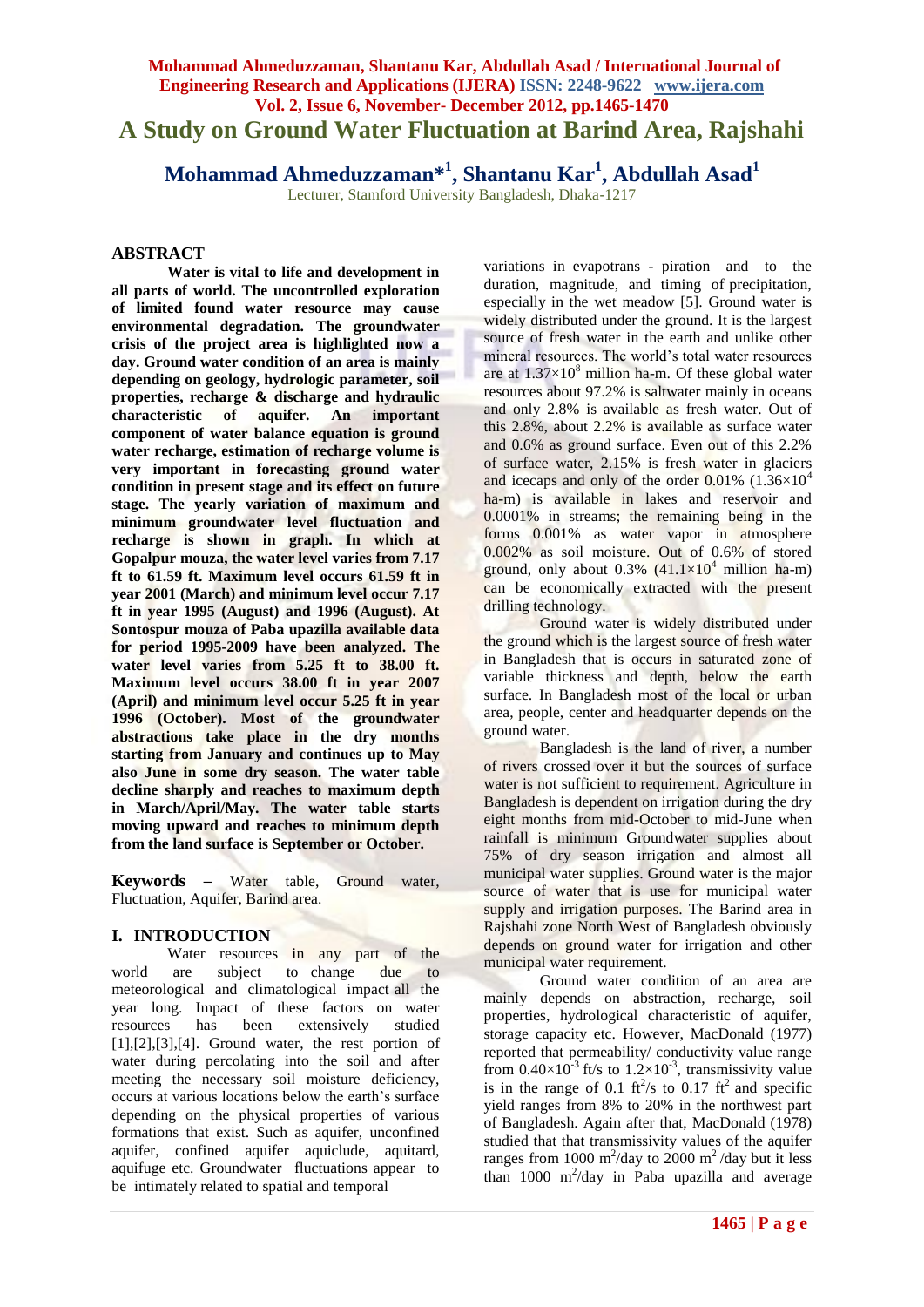# **Mohammad Ahmeduzzaman, Shantanu Kar, Abdullah Asad / International Journal of Engineering Research and Applications (IJERA) ISSN: 2248-9622 www.ijera.com Vol. 2, Issue 6, November- December 2012, pp.1465-1470 A Study on Ground Water Fluctuation at Barind Area, Rajshahi**

**Mohammad Ahmeduzzaman\*<sup>1</sup> , Shantanu Kar<sup>1</sup> , Abdullah Asad<sup>1</sup>**

Lecturer, Stamford University Bangladesh, Dhaka-1217

## **ABSTRACT**

**Water is vital to life and development in all parts of world. The uncontrolled exploration of limited found water resource may cause environmental degradation. The groundwater crisis of the project area is highlighted now a day. Ground water condition of an area is mainly depending on geology, hydrologic parameter, soil properties, recharge & discharge and hydraulic characteristic of aquifer. An important component of water balance equation is ground water recharge, estimation of recharge volume is very important in forecasting ground water condition in present stage and its effect on future stage. The yearly variation of maximum and minimum groundwater level fluctuation and recharge is shown in graph. In which at Gopalpur mouza, the water level varies from 7.17 ft to 61.59 ft. Maximum level occurs 61.59 ft in year 2001 (March) and minimum level occur 7.17 ft in year 1995 (August) and 1996 (August). At Sontospur mouza of Paba upazilla available data for period 1995-2009 have been analyzed. The water level varies from 5.25 ft to 38.00 ft. Maximum level occurs 38.00 ft in year 2007 (April) and minimum level occur 5.25 ft in year 1996 (October). Most of the groundwater abstractions take place in the dry months starting from January and continues up to May also June in some dry season. The water table decline sharply and reaches to maximum depth in March/April/May. The water table starts moving upward and reaches to minimum depth from the land surface is September or October.**

**Keywords –** Water table, Ground water, Fluctuation, Aquifer, Barind area.

# **I. INTRODUCTION**

Water resources in any part of the world are subject to change due to meteorological and climatological impact all the year long. Impact of these factors on water resources has been extensively studied  $[1],[2],[3],[4]$ . Ground water, the rest portion of water during percolating into the soil and after meeting the necessary soil moisture deficiency, occurs at various locations below the earth's surface depending on the physical properties of various formations that exist. Such as aquifer, unconfined aquifer, confined aquifer aquiclude, aquitard, aquifuge etc. Groundwater fluctuations appear to be intimately related to spatial and temporal

variations in evapotrans - piration and to the duration, magnitude, and timing of precipitation, especially in the wet meadow [5]. Ground water is widely distributed under the ground. It is the largest source of fresh water in the earth and unlike other mineral resources. The world's total water resources are at  $1.37\times10^8$  million ha-m. Of these global water resources about 97.2% is saltwater mainly in oceans and only 2.8% is available as fresh water. Out of this 2.8%, about 2.2% is available as surface water and 0.6% as ground surface. Even out of this 2.2% of surface water, 2.15% is fresh water in glaciers and icecaps and only of the order  $0.01\%$  (1.36×10<sup>4</sup>) ha-m) is available in lakes and reservoir and 0.0001% in streams; the remaining being in the forms 0.001% as water vapor in atmosphere 0.002% as soil moisture. Out of 0.6% of stored ground, only about  $0.3\%$  (41.1×10<sup>4</sup> million ha-m) can be economically extracted with the present drilling technology.

Ground water is widely distributed under the ground which is the largest source of fresh water in Bangladesh that is occurs in saturated zone of variable thickness and depth, below the earth surface. In Bangladesh most of the local or urban area, people, center and headquarter depends on the ground water.

Bangladesh is the land of river, a number of rivers crossed over it but the sources of surface water is not sufficient to requirement. Agriculture in Bangladesh is dependent on irrigation during the dry eight months from mid-October to mid-June when rainfall is minimum Groundwater supplies about 75% of dry season irrigation and almost all municipal water supplies. Ground water is the major source of water that is use for municipal water supply and irrigation purposes. The Barind area in Rajshahi zone North West of Bangladesh obviously depends on ground water for irrigation and other municipal water requirement.

Ground water condition of an area are mainly depends on abstraction, recharge, soil properties, hydrological characteristic of aquifer, storage capacity etc. However, MacDonald (1977) reported that permeability/ conductivity value range from  $0.40\times10^{-3}$  ft/s to  $1.2\times10^{-3}$ , transmissivity value is in the range of 0.1  $\text{ft}^2/\text{s}$  to 0.17  $\text{ft}^2$  and specific yield ranges from 8% to 20% in the northwest part of Bangladesh. Again after that, MacDonald (1978) studied that that transmissivity values of the aquifer ranges from 1000 m<sup>2</sup>/day to 2000 m<sup>2</sup>/day but it less than  $1000 \text{ m}^2/\text{day}$  in Paba upazilla and average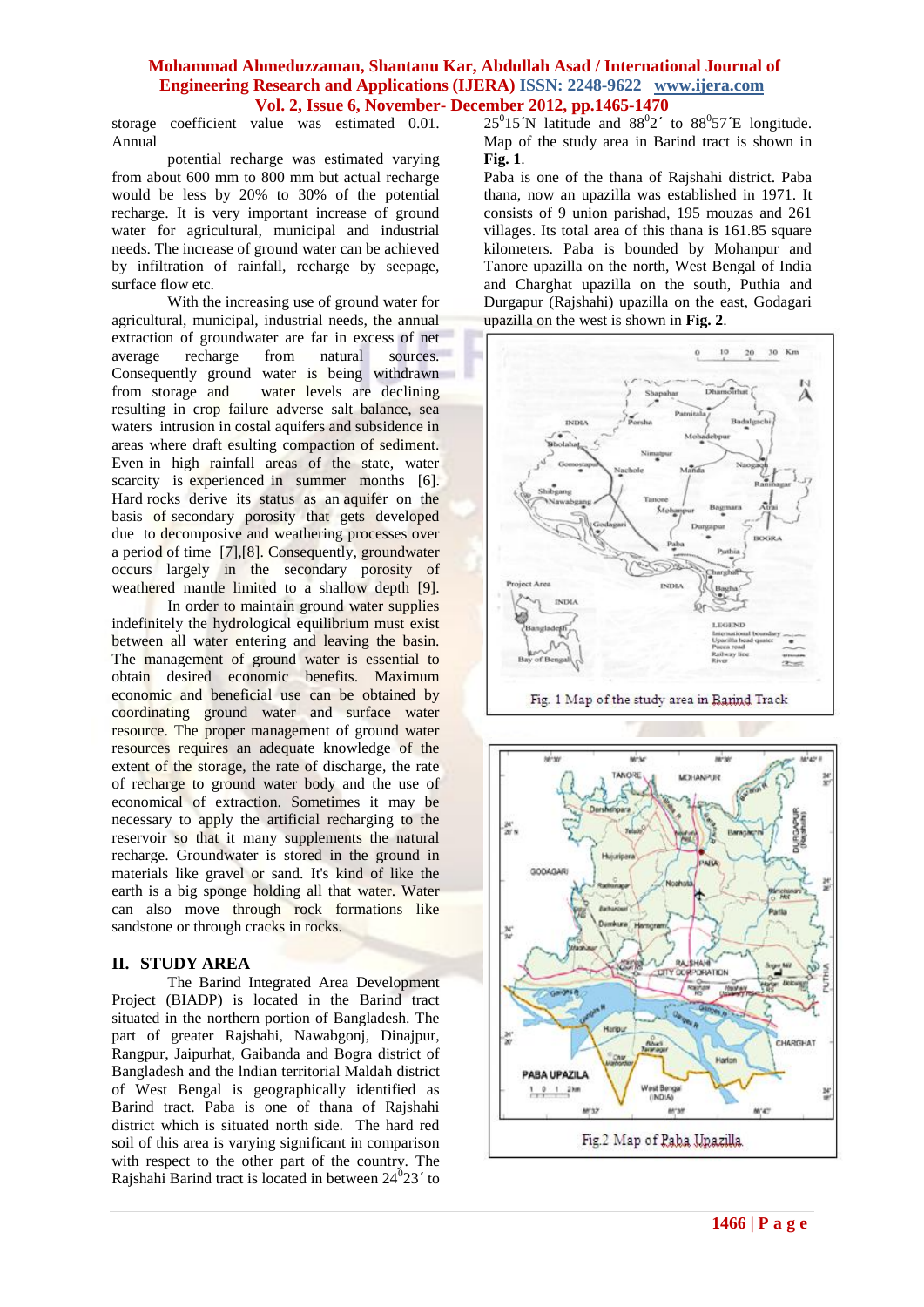storage coefficient value was estimated 0.01. Annual

potential recharge was estimated varying from about 600 mm to 800 mm but actual recharge would be less by 20% to 30% of the potential recharge. It is very important increase of ground water for agricultural, municipal and industrial needs. The increase of ground water can be achieved by infiltration of rainfall, recharge by seepage, surface flow etc.

With the increasing use of ground water for agricultural, municipal, industrial needs, the annual extraction of groundwater are far in excess of net<br>average recharge from natural sources. average recharge from natural Consequently ground water is being withdrawn from storage and water levels are declining resulting in crop failure adverse salt balance, sea waters intrusion in costal aquifers and subsidence in areas where draft esulting compaction of sediment. Even in high rainfall areas of the state, water scarcity is experienced in summer months [6]. Hard rocks derive its status as an aquifer on the basis of secondary porosity that gets developed due to decomposive and weathering processes over a period of time [7],[8]. Consequently, groundwater occurs largely in the secondary porosity of weathered mantle limited to a shallow depth [9].

In order to maintain ground water supplies indefinitely the hydrological equilibrium must exist between all water entering and leaving the basin. The management of ground water is essential to obtain desired economic benefits. Maximum economic and beneficial use can be obtained by coordinating ground water and surface water resource. The proper management of ground water resources requires an adequate knowledge of the extent of the storage, the rate of discharge, the rate of recharge to ground water body and the use of economical of extraction. Sometimes it may be necessary to apply the artificial recharging to the reservoir so that it many supplements the natural recharge. Groundwater is stored in the ground in materials like gravel or sand. It's kind of like the earth is a big sponge holding all that water. Water can also move through rock formations like sandstone or through cracks in rocks.

#### **II. STUDY AREA**

The Barind Integrated Area Development Project (BIADP) is located in the Barind tract situated in the northern portion of Bangladesh. The part of greater Rajshahi, Nawabgonj, Dinajpur, Rangpur, Jaipurhat, Gaibanda and Bogra district of Bangladesh and the lndian territorial Maldah district of West Bengal is geographically identified as Barind tract. Paba is one of thana of Rajshahi district which is situated north side. The hard red soil of this area is varying significant in comparison with respect to the other part of the country. The Rajshahi Barind tract is located in between  $24^{0}23'$  to

 $25^{\circ}$ 15'N latitude and  $88^{\circ}$ 2' to  $88^{\circ}$ 57'E longitude. Map of the study area in Barind tract is shown in **Fig. 1**.

Paba is one of the thana of Rajshahi district. Paba thana, now an upazilla was established in 1971. It consists of 9 union parishad, 195 mouzas and 261 villages. Its total area of this thana is 161.85 square kilometers. Paba is bounded by Mohanpur and Tanore upazilla on the north, West Bengal of India and Charghat upazilla on the south, Puthia and Durgapur (Rajshahi) upazilla on the east, Godagari upazilla on the west is shown in **Fig. 2**.



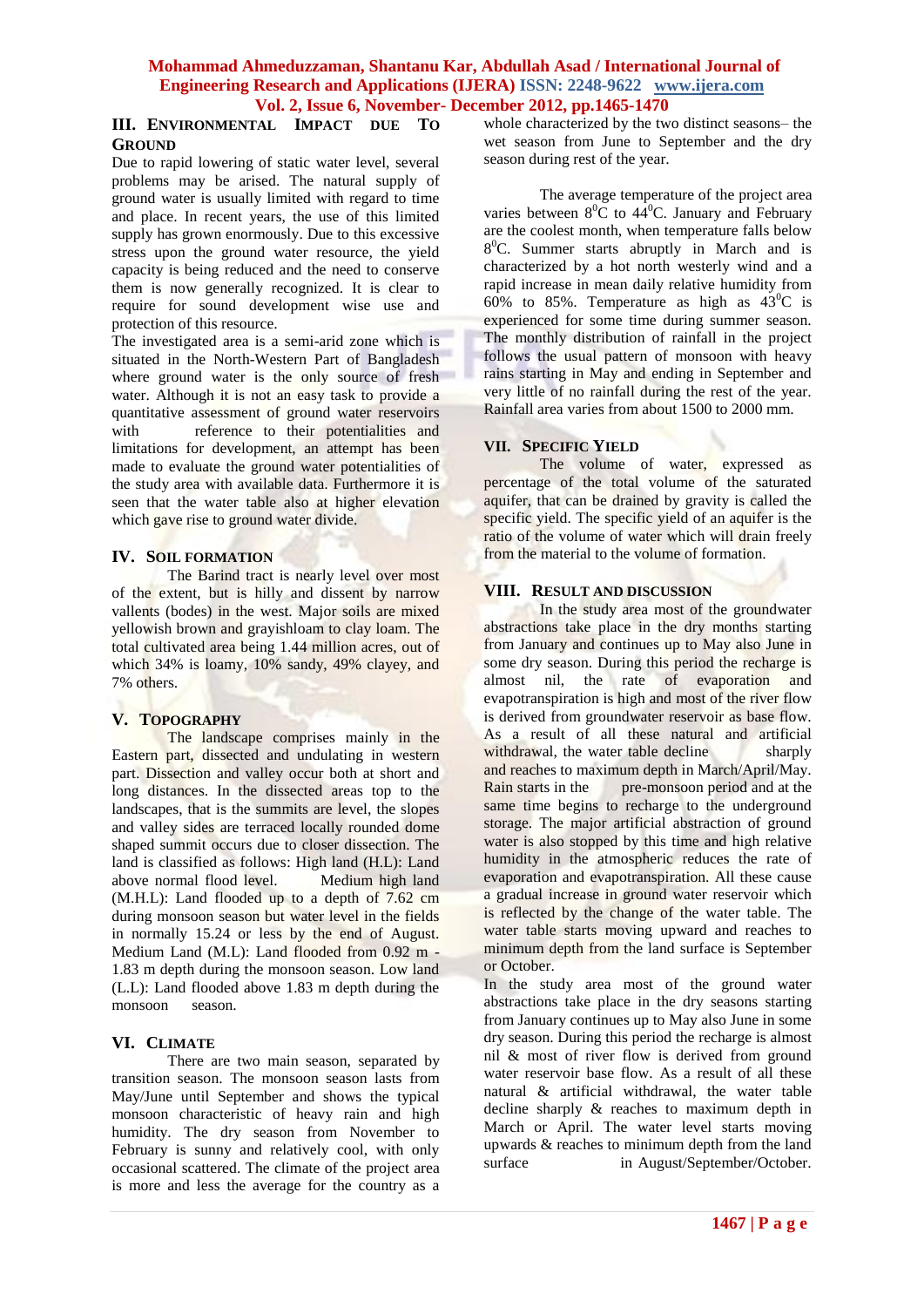### **III. ENVIRONMENTAL IMPACT DUE TO GROUND**

Due to rapid lowering of static water level, several problems may be arised. The natural supply of ground water is usually limited with regard to time and place. In recent years, the use of this limited supply has grown enormously. Due to this excessive stress upon the ground water resource, the yield capacity is being reduced and the need to conserve them is now generally recognized. It is clear to require for sound development wise use and protection of this resource.

The investigated area is a semi-arid zone which is situated in the North-Western Part of Bangladesh where ground water is the only source of fresh water. Although it is not an easy task to provide a quantitative assessment of ground water reservoirs with reference to their potentialities and limitations for development, an attempt has been made to evaluate the ground water potentialities of the study area with available data. Furthermore it is seen that the water table also at higher elevation which gave rise to ground water divide.

### **IV. SOIL FORMATION**

The Barind tract is nearly level over most of the extent, but is hilly and dissent by narrow vallents (bodes) in the west. Major soils are mixed yellowish brown and grayishloam to clay loam. The total cultivated area being 1.44 million acres, out of which 34% is loamy, 10% sandy, 49% clayey, and 7% others.

# **V. TOPOGRAPHY**

The landscape comprises mainly in the Eastern part, dissected and undulating in western part. Dissection and valley occur both at short and long distances. In the dissected areas top to the landscapes, that is the summits are level, the slopes and valley sides are terraced locally rounded dome shaped summit occurs due to closer dissection. The land is classified as follows: High land (H.L): Land above normal flood level. Medium high land (M.H.L): Land flooded up to a depth of 7.62 cm during monsoon season but water level in the fields in normally 15.24 or less by the end of August. Medium Land (M.L): Land flooded from 0.92 m - 1.83 m depth during the monsoon season. Low land (L.L): Land flooded above 1.83 m depth during the monsoon season.

#### **VI. CLIMATE**

There are two main season, separated by transition season. The monsoon season lasts from May/June until September and shows the typical monsoon characteristic of heavy rain and high humidity. The dry season from November to February is sunny and relatively cool, with only occasional scattered. The climate of the project area is more and less the average for the country as a whole characterized by the two distinct seasons– the wet season from June to September and the dry season during rest of the year.

The average temperature of the project area varies between  $8^0C$  to  $44^0C$ . January and February are the coolest month, when temperature falls below 8 <sup>0</sup>C. Summer starts abruptly in March and is characterized by a hot north westerly wind and a rapid increase in mean daily relative humidity from 60% to 85%. Temperature as high as  $43^{\circ}$ C is experienced for some time during summer season. The monthly distribution of rainfall in the project follows the usual pattern of monsoon with heavy rains starting in May and ending in September and very little of no rainfall during the rest of the year. Rainfall area varies from about 1500 to 2000 mm.

### **VII. SPECIFIC YIELD**

The volume of water, expressed as percentage of the total volume of the saturated aquifer, that can be drained by gravity is called the specific yield. The specific yield of an aquifer is the ratio of the volume of water which will drain freely from the material to the volume of formation.

### **VIII. RESULT AND DISCUSSION**

In the study area most of the groundwater abstractions take place in the dry months starting from January and continues up to May also June in some dry season. During this period the recharge is almost mil, the rate of evaporation and almost nil, the rate of evaporation and evapotranspiration is high and most of the river flow is derived from groundwater reservoir as base flow. As a result of all these natural and artificial withdrawal, the water table decline sharply and reaches to maximum depth in March/April/May. Rain starts in the pre-monsoon period and at the same time begins to recharge to the underground storage. The major artificial abstraction of ground water is also stopped by this time and high relative humidity in the atmospheric reduces the rate of evaporation and evapotranspiration. All these cause a gradual increase in ground water reservoir which is reflected by the change of the water table. The water table starts moving upward and reaches to minimum depth from the land surface is September or October.

In the study area most of the ground water abstractions take place in the dry seasons starting from January continues up to May also June in some dry season. During this period the recharge is almost nil & most of river flow is derived from ground water reservoir base flow. As a result of all these natural & artificial withdrawal, the water table decline sharply & reaches to maximum depth in March or April. The water level starts moving upwards & reaches to minimum depth from the land surface in August/September/October.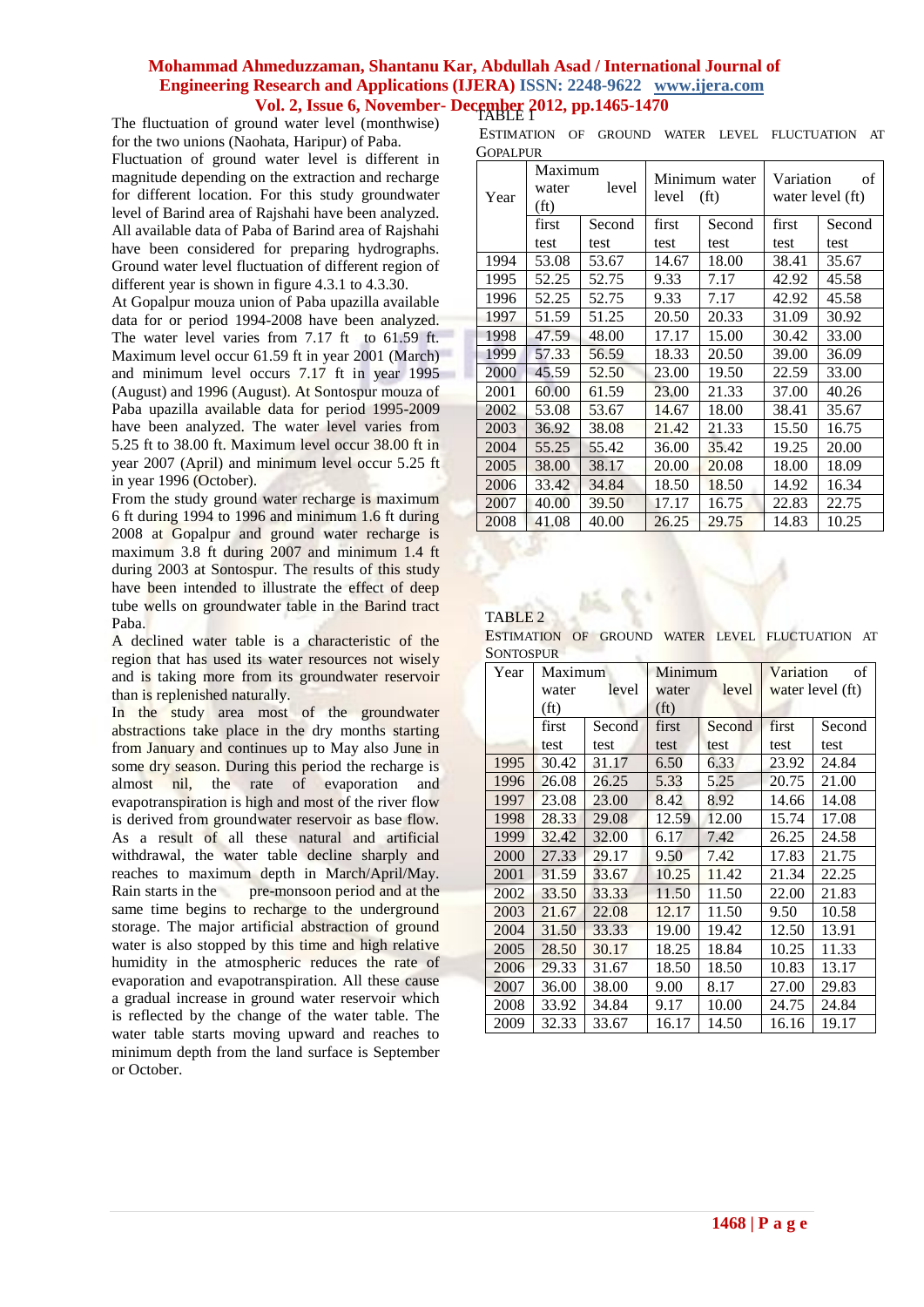The fluctuation of ground water level (monthwise) for the two unions (Naohata, Haripur) of Paba. Fluctuation of ground water level is different in magnitude depending on the extraction and recharge for different location. For this study groundwater level of Barind area of Rajshahi have been analyzed. All available data of Paba of Barind area of Rajshahi have been considered for preparing hydrographs. Ground water level fluctuation of different region of different year is shown in figure 4.3.1 to 4.3.30.

At Gopalpur mouza union of Paba upazilla available data for or period 1994-2008 have been analyzed. The water level varies from 7.17 ft to 61.59 ft. Maximum level occur 61.59 ft in year 2001 (March) and minimum level occurs 7.17 ft in year 1995 (August) and 1996 (August). At Sontospur mouza of Paba upazilla available data for period 1995-2009 have been analyzed. The water level varies from 5.25 ft to 38.00 ft. Maximum level occur 38.00 ft in year 2007 (April) and minimum level occur 5.25 ft in year 1996 (October).

From the study ground water recharge is maximum 6 ft during 1994 to 1996 and minimum 1.6 ft during 2008 at Gopalpur and ground water recharge is maximum 3.8 ft during 2007 and minimum 1.4 ft during 2003 at Sontospur. The results of this study have been intended to illustrate the effect of deep tube wells on groundwater table in the Barind tract Paba.

A declined water table is a characteristic of the region that has used its water resources not wisely and is taking more from its groundwater reservoir than is replenished naturally.

In the study area most of the groundwater abstractions take place in the dry months starting from January and continues up to May also June in some dry season. During this period the recharge is almost nil, the rate of evaporation and evapotranspiration is high and most of the river flow is derived from groundwater reservoir as base flow. As a result of all these natural and artificial withdrawal, the water table decline sharply and reaches to maximum depth in March/April/May. Rain starts in the pre-monsoon period and at the same time begins to recharge to the underground storage. The major artificial abstraction of ground water is also stopped by this time and high relative humidity in the atmospheric reduces the rate of evaporation and evapotranspiration. All these cause a gradual increase in ground water reservoir which is reflected by the change of the water table. The water table starts moving upward and reaches to minimum depth from the land surface is September or October.

ESTIMATION OF GROUND WATER LEVEL FLUCTUATION AT GOPALPUR

| Year | Maximum<br>level<br>water<br>(f <sub>t</sub> ) |        | Minimum water<br>(f <sub>t</sub> )<br>level |        | Variation<br>οf<br>water level (ft) |        |
|------|------------------------------------------------|--------|---------------------------------------------|--------|-------------------------------------|--------|
|      | first                                          | Second | first                                       | Second | first                               | Second |
|      | test                                           | test   | test                                        | test   | test                                | test   |
| 1994 | 53.08                                          | 53.67  | 14.67                                       | 18.00  | 38.41                               | 35.67  |
| 1995 | 52.25                                          | 52.75  | 9.33                                        | 7.17   | 42.92                               | 45.58  |
| 1996 | 52.25                                          | 52.75  | 9.33                                        | 7.17   | 42.92                               | 45.58  |
| 1997 | 51.59                                          | 51.25  | 20.50                                       | 20.33  | 31.09                               | 30.92  |
| 1998 | 47.59                                          | 48.00  | 17.17                                       | 15.00  | 30.42                               | 33.00  |
| 1999 | 57.33                                          | 56.59  | 18.33                                       | 20.50  | 39.00                               | 36.09  |
| 2000 | 45.59                                          | 52.50  | 23.00                                       | 19.50  | 22.59                               | 33.00  |
| 2001 | 60.00                                          | 61.59  | 23.00                                       | 21.33  | 37.00                               | 40.26  |
| 2002 | 53.08                                          | 53.67  | 14.67                                       | 18.00  | 38.41                               | 35.67  |
| 2003 | 36.92                                          | 38.08  | 21.42                                       | 21.33  | 15.50                               | 16.75  |
| 2004 | 55.25                                          | 55.42  | 36.00                                       | 35.42  | 19.25                               | 20.00  |
| 2005 | 38.00                                          | 38.17  | 20.00                                       | 20.08  | 18.00                               | 18.09  |
| 2006 | 33.42                                          | 34.84  | 18.50                                       | 18.50  | 14.92                               | 16.34  |
| 2007 | 40.00                                          | 39.50  | 17.17                                       | 16.75  | 22.83                               | 22.75  |
| 2008 | 41.08                                          | 40.00  | 26.25                                       | 29.75  | 14.83                               | 10.25  |

#### TABLE 2

ESTIMATION OF GROUND WATER LEVEL FLUCTUATION AT **SONTOSPUR** 

| Year | Maximum           |        | Minimum           |        | Variation<br>of  |        |
|------|-------------------|--------|-------------------|--------|------------------|--------|
|      | water             | level  | water             | level  | water level (ft) |        |
|      | (f <sup>t</sup> ) |        | (f <sub>t</sub> ) |        |                  |        |
|      | first             | Second | first             | Second | first            | Second |
|      | test              | test   | test              | test   | test             | test   |
| 1995 | 30.42             | 31.17  | 6.50              | 6.33   | 23.92            | 24.84  |
| 1996 | 26.08             | 26.25  | 5.33              | 5.25   | 20.75            | 21.00  |
| 1997 | 23.08             | 23.00  | 8.42              | 8.92   | 14.66            | 14.08  |
| 1998 | 28.33             | 29.08  | 12.59             | 12.00  | 15.74            | 17.08  |
| 1999 | 32.42             | 32.00  | 6.17              | 7.42   | 26.25            | 24.58  |
| 2000 | 27.33             | 29.17  | 9.50              | 7.42   | 17.83            | 21.75  |
| 2001 | 31.59             | 33.67  | 10.25             | 11.42  | 21.34            | 22.25  |
| 2002 | 33.50             | 33.33  | 11.50             | 11.50  | 22.00            | 21.83  |
| 2003 | 21.67             | 22.08  | 12.17             | 11.50  | 9.50             | 10.58  |
| 2004 | 31.50             | 33.33  | 19.00             | 19.42  | 12.50            | 13.91  |
| 2005 | 28.50             | 30.17  | 18.25             | 18.84  | 10.25            | 11.33  |
| 2006 | 29.33             | 31.67  | 18.50             | 18.50  | 10.83            | 13.17  |
| 2007 | 36.00             | 38.00  | 9.00              | 8.17   | 27.00            | 29.83  |
| 2008 | 33.92             | 34.84  | 9.17              | 10.00  | 24.75            | 24.84  |
| 2009 | 32.33             | 33.67  | 16.17             | 14.50  | 16.16            | 19.17  |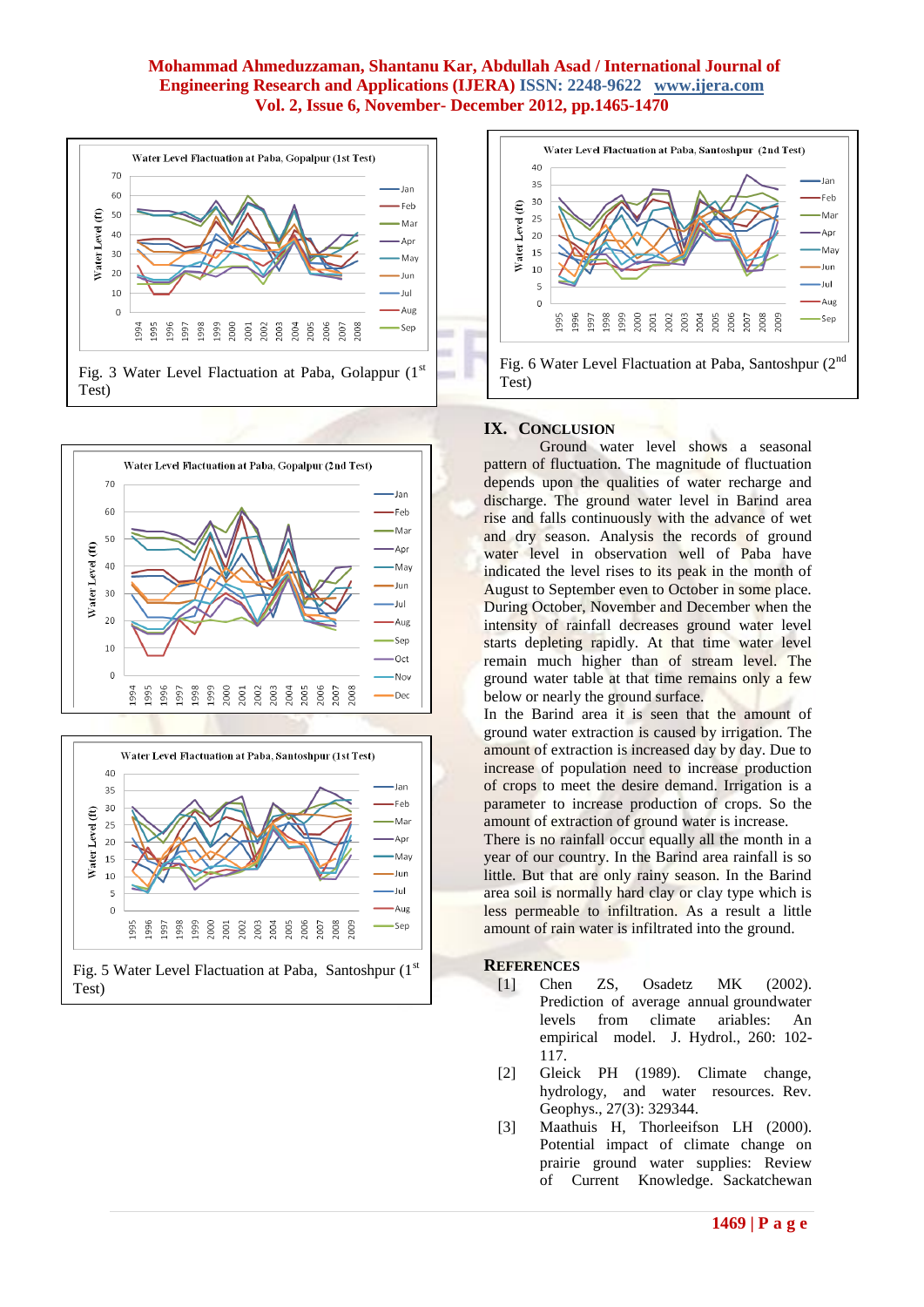





Test)



# **IX. CONCLUSION**

Ground water level shows a seasonal pattern of fluctuation. The magnitude of fluctuation depends upon the qualities of water recharge and discharge. The ground water level in Barind area rise and falls continuously with the advance of wet and dry season. Analysis the records of ground water level in observation well of Paba have indicated the level rises to its peak in the month of August to September even to October in some place. During October, November and December when the intensity of rainfall decreases ground water level starts depleting rapidly. At that time water level remain much higher than of stream level. The ground water table at that time remains only a few below or nearly the ground surface.

In the Barind area it is seen that the amount of ground water extraction is caused by irrigation. The amount of extraction is increased day by day. Due to increase of population need to increase production of crops to meet the desire demand. Irrigation is a parameter to increase production of crops. So the amount of extraction of ground water is increase.

There is no rainfall occur equally all the month in a year of our country. In the Barind area rainfall is so little. But that are only rainy season. In the Barind area soil is normally hard clay or clay type which is less permeable to infiltration. As a result a little amount of rain water is infiltrated into the ground.

# **REFERENCES**

- [1] Chen ZS, Osadetz MK (2002). Prediction of average annual groundwater levels from climate ariables: An empirical model. J. Hydrol., 260: 102- 117.
- [2] Gleick PH (1989). Climate change, hydrology, and water resources. Rev. Geophys., 27(3): 329344.
- [3] Maathuis H, Thorleeifson LH (2000). Potential impact of climate change on prairie ground water supplies: Review of Current Knowledge. Sackatchewan